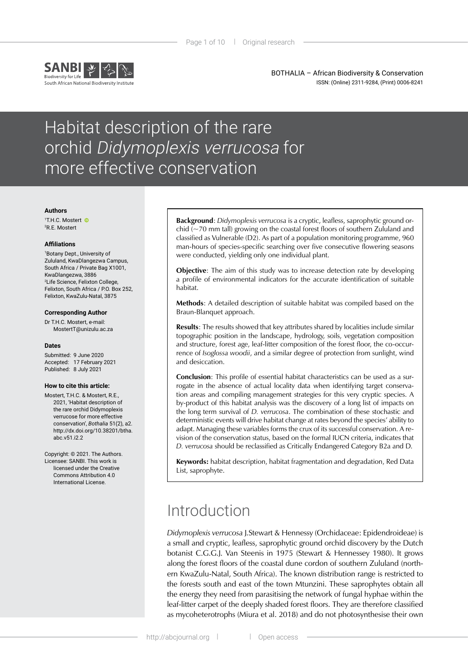

BOTHALIA – African Biodiversity & Conservation ISSN: (Online) 2311-9284, (Print) 0006-8241

# Habitat description of the rare orchid Didymoplexis verrucosa for more effective conservation

#### **Authors**

1 T.H.C. Mostert 2 R.E. Mostert

#### **Affiliations**

1 Botany Dept., University of Zululand, KwaDlangezwa Campus, South Africa / Private Bag X1001, KwaDlangezwa, 3886 2 Life Science, Felixton College, Felixton, South Africa / P.O. Box 252, Felixton, KwaZulu-Natal, 3875

#### **Corresponding Author**

Dr T.H.C. Mostert, e-mail: [MostertT@unizulu.ac.za](mailto:MostertT@unizulu.ac.za)

#### **Dates**

Submitted: 9 June 2020 Accepted: 17 February 2021 Published: 8 July 2021

#### **How to cite this article:**

Mostert, T.H.C. & Mostert, R.E., 2021, 'Habitat description of the rare orchid Didymoplexis verrucose for more effective conservation', *Bothalia* 51(2), a2. [http://dx.doi.org/10.38201/btha.](http://dx.doi.org/10.38201/btha.abc.v51.i2) [abc.v51.i2.](http://dx.doi.org/10.38201/btha.abc.v51.i2)2

Copyright: © 2021. The Authors. Licensee: SANBI. This work is licensed under the Creative Commons Attribution 4.0 International License.

**Background**: *Didymoplexis verrucosa* is a cryptic, leafless, saprophytic ground orchid  $\left(\sim$ 70 mm tall) growing on the coastal forest floors of southern Zululand and classified as Vulnerable (D2). As part of a population monitoring programme, 960 man-hours of species-specific searching over five consecutive flowering seasons were conducted, yielding only one individual plant.

**Objective**: The aim of this study was to increase detection rate by developing a profile of environmental indicators for the accurate identification of suitable habitat.

**Methods**: A detailed description of suitable habitat was compiled based on the Braun-Blanquet approach.

**Results**: The results showed that key attributes shared by localities include similar topographic position in the landscape, hydrology, soils, vegetation composition and structure, forest age, leaf-litter composition of the forest floor, the co-occurrence of *Isoglossa woodii*, and a similar degree of protection from sunlight, wind and desiccation.

**Conclusion**: This profile of essential habitat characteristics can be used as a surrogate in the absence of actual locality data when identifying target conservation areas and compiling management strategies for this very cryptic species. A by-product of this habitat analysis was the discovery of a long list of impacts on the long term survival of *D. verrucosa*. The combination of these stochastic and deterministic events will drive habitat change at rates beyond the species' ability to adapt. Managing these variables forms the crux of its successful conservation. A revision of the conservation status, based on the formal IUCN criteria, indicates that *D. verrucosa* should be reclassified as Critically Endangered Category B2a and D.

**Keywords:** habitat description, habitat fragmentation and degradation, Red Data List, saprophyte.

## Introduction

*Didymoplexis verrucosa* J.Stewart & Hennessy (Orchidaceae: Epidendroideae) is a small and cryptic, leafless, saprophytic ground orchid discovery by the Dutch botanist C.G.G.J. Van Steenis in 1975 (Stewart & Hennessey 1980). It grows along the forest floors of the coastal dune cordon of southern Zululand (northern KwaZulu-Natal, South Africa). The known distribution range is restricted to the forests south and east of the town Mtunzini. These saprophytes obtain all the energy they need from parasitising the network of fungal hyphae within the leaf-litter carpet of the deeply shaded forest floors. They are therefore classified as mycoheterotrophs (Miura et al. 2018) and do not photosynthesise their own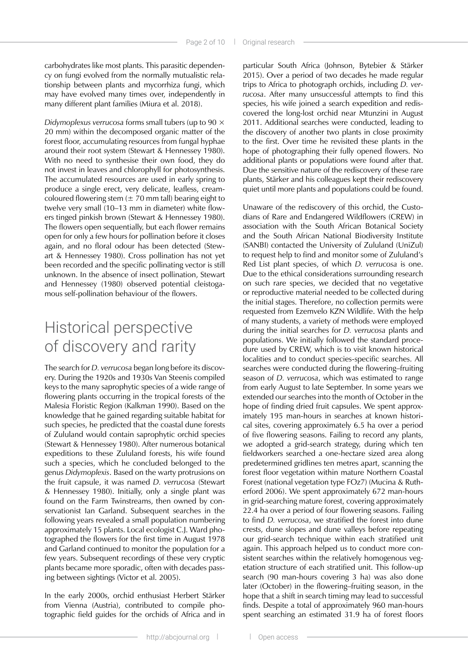carbohydrates like most plants. This parasitic dependency on fungi evolved from the normally mutualistic relationship between plants and mycorrhiza fungi, which may have evolved many times over, independently in many different plant families (Miura et al. 2018).

*Didymoplexus verrucosa* forms small tubers (up to 90 × 20 mm) within the decomposed organic matter of the forest floor, accumulating resources from fungal hyphae around their root system (Stewart & Hennessey 1980). With no need to synthesise their own food, they do not invest in leaves and chlorophyll for photosynthesis. The accumulated resources are used in early spring to produce a single erect, very delicate, leafless, creamcoloured flowering stem  $(\pm 70$  mm tall) bearing eight to twelve very small (10–13 mm in diameter) white flowers tinged pinkish brown (Stewart & Hennessey 1980). The flowers open sequentially, but each flower remains open for only a few hours for pollination before it closes again, and no floral odour has been detected (Stewart & Hennessey 1980). Cross pollination has not yet been recorded and the specific pollinating vector is still unknown. In the absence of insect pollination, Stewart and Hennessey (1980) observed potential cleistogamous self-pollination behaviour of the flowers.

# Historical perspective of discovery and rarity

The search for *D. verrucosa* began long before its discovery. During the 1920s and 1930s Van Steenis compiled keys to the many saprophytic species of a wide range of flowering plants occurring in the tropical forests of the Malesia Floristic Region (Kalkman 1990). Based on the knowledge that he gained regarding suitable habitat for such species, he predicted that the coastal dune forests of Zululand would contain saprophytic orchid species (Stewart & Hennessey 1980). After numerous botanical expeditions to these Zululand forests, his wife found such a species, which he concluded belonged to the genus *Didymoplexis*. Based on the warty protrusions on the fruit capsule, it was named *D. verrucosa* (Stewart & Hennessey 1980). Initially, only a single plant was found on the Farm Twinstreams, then owned by conservationist Ian Garland. Subsequent searches in the following years revealed a small population numbering approximately 15 plants. Local ecologist C.J. Ward photographed the flowers for the first time in August 1978 and Garland continued to monitor the population for a few years. Subsequent recordings of these very cryptic plants became more sporadic, often with decades passing between sightings (Victor et al. 2005).

In the early 2000s, orchid enthusiast Herbert Stärker from Vienna (Austria), contributed to compile photographic field guides for the orchids of Africa and in

particular South Africa (Johnson, Bytebier & Stärker 2015). Over a period of two decades he made regular trips to Africa to photograph orchids, including *D. verrucosa*. After many unsuccessful attempts to find this species, his wife joined a search expedition and rediscovered the long-lost orchid near Mtunzini in August 2011. Additional searches were conducted, leading to the discovery of another two plants in close proximity to the first. Over time he revisited these plants in the hope of photographing their fully opened flowers. No additional plants or populations were found after that. Due the sensitive nature of the rediscovery of these rare plants, Stärker and his colleagues kept their rediscovery quiet until more plants and populations could be found.

Unaware of the rediscovery of this orchid, the Custodians of Rare and Endangered Wildflowers (CREW) in association with the South African Botanical Society and the South African National Biodiversity Institute (SANBI) contacted the University of Zululand (UniZul) to request help to find and monitor some of Zululand's Red List plant species, of which *D. verrucosa* is one. Due to the ethical considerations surrounding research on such rare species, we decided that no vegetative or reproductive material needed to be collected during the initial stages. Therefore, no collection permits were requested from Ezemvelo KZN Wildlife. With the help of many students, a variety of methods were employed during the initial searches for *D. verrucosa* plants and populations. We initially followed the standard procedure used by CREW, which is to visit known historical localities and to conduct species-specific searches. All searches were conducted during the flowering–fruiting season of *D. verrucosa*, which was estimated to range from early August to late September. In some years we extended our searches into the month of October in the hope of finding dried fruit capsules. We spent approximately 195 man-hours in searches at known historical sites, covering approximately 6.5 ha over a period of five flowering seasons. Failing to record any plants, we adopted a grid-search strategy, during which ten fieldworkers searched a one-hectare sized area along predetermined gridlines ten metres apart, scanning the forest floor vegetation within mature Northern Coastal Forest (national vegetation type FOz7) (Mucina & Rutherford 2006). We spent approximately 672 man-hours in grid-searching mature forest, covering approximately 22.4 ha over a period of four flowering seasons. Failing to find *D. verrucosa*, we stratified the forest into dune crests, dune slopes and dune valleys before repeating our grid-search technique within each stratified unit again. This approach helped us to conduct more consistent searches within the relatively homogenous vegetation structure of each stratified unit. This follow-up search (90 man-hours covering 3 ha) was also done later (October) in the flowering–fruiting season, in the hope that a shift in search timing may lead to successful finds. Despite a total of approximately 960 man-hours spent searching an estimated 31.9 ha of forest floors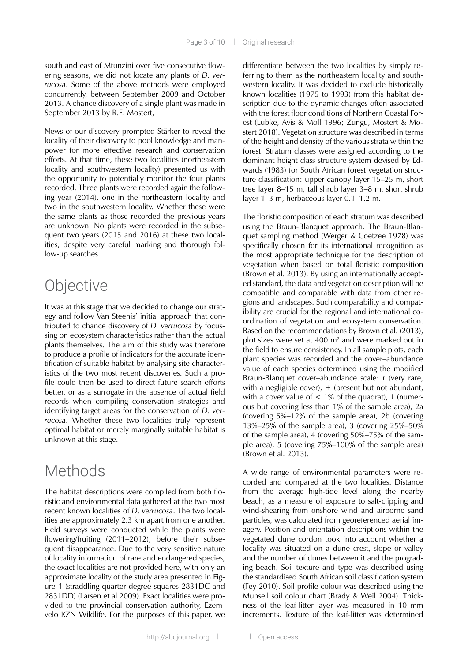south and east of Mtunzini over five consecutive flowering seasons, we did not locate any plants of *D. verrucosa*. Some of the above methods were employed concurrently, between September 2009 and October 2013. A chance discovery of a single plant was made in September 2013 by R.E. Mostert,

News of our discovery prompted Stärker to reveal the locality of their discovery to pool knowledge and manpower for more effective research and conservation efforts. At that time, these two localities (northeastern locality and southwestern locality) presented us with the opportunity to potentially monitor the four plants recorded. Three plants were recorded again the following year (2014), one in the northeastern locality and two in the southwestern locality. Whether these were the same plants as those recorded the previous years are unknown. No plants were recorded in the subsequent two years (2015 and 2016) at these two localities, despite very careful marking and thorough follow-up searches.

## **Objective**

It was at this stage that we decided to change our strategy and follow Van Steenis' initial approach that contributed to chance discovery of *D. verrucosa* by focussing on ecosystem characteristics rather than the actual plants themselves. The aim of this study was therefore to produce a profile of indicators for the accurate identification of suitable habitat by analysing site characteristics of the two most recent discoveries. Such a profile could then be used to direct future search efforts better, or as a surrogate in the absence of actual field records when compiling conservation strategies and identifying target areas for the conservation of *D. verrucosa*. Whether these two localities truly represent optimal habitat or merely marginally suitable habitat is unknown at this stage.

## Methods

The habitat descriptions were compiled from both floristic and environmental data gathered at the two most recent known localities of *D. verrucosa*. The two localities are approximately 2.3 km apart from one another. Field surveys were conducted while the plants were flowering/fruiting (2011–2012), before their subsequent disappearance. Due to the very sensitive nature of locality information of rare and endangered species, the exact localities are not provided here, with only an approximate locality of the study area presented in Figure 1 (straddling quarter degree squares 2831DC and 2831DD) (Larsen et al 2009). Exact localities were provided to the provincial conservation authority, Ezemvelo KZN Wildlife. For the purposes of this paper, we differentiate between the two localities by simply referring to them as the northeastern locality and southwestern locality. It was decided to exclude historically known localities (1975 to 1993) from this habitat description due to the dynamic changes often associated with the forest floor conditions of Northern Coastal Forest (Lubke, Avis & Moll 1996; Zungu, Mostert & Mostert 2018). Vegetation structure was described in terms of the height and density of the various strata within the forest. Stratum classes were assigned according to the dominant height class structure system devised by Edwards (1983) for South African forest vegetation structure classification: upper canopy layer 15–25 m, short tree layer 8–15 m, tall shrub layer 3–8 m, short shrub layer 1–3 m, herbaceous layer 0.1–1.2 m.

The floristic composition of each stratum was described using the Braun-Blanquet approach. The Braun-Blanquet sampling method (Werger & Coetzee 1978) was specifically chosen for its international recognition as the most appropriate technique for the description of vegetation when based on total floristic composition (Brown et al. 2013). By using an internationally accepted standard, the data and vegetation description will be compatible and comparable with data from other regions and landscapes. Such comparability and compatibility are crucial for the regional and international coordination of vegetation and ecosystem conservation. Based on the recommendations by Brown et al. (2013), plot sizes were set at 400 m<sup>2</sup> and were marked out in the field to ensure consistency. In all sample plots, each plant species was recorded and the cover–abundance value of each species determined using the modified Braun-Blanquet cover–abundance scale: r (very rare, with a negligible cover),  $+$  (present but not abundant, with a cover value of  $< 1\%$  of the quadrat), 1 (numerous but covering less than 1% of the sample area), 2a (covering 5%–12% of the sample area), 2b (covering 13%–25% of the sample area), 3 (covering 25%–50% of the sample area), 4 (covering 50%–75% of the sample area), 5 (covering 75%–100% of the sample area) (Brown et al. 2013).

A wide range of environmental parameters were recorded and compared at the two localities. Distance from the average high-tide level along the nearby beach, as a measure of exposure to salt-clipping and wind-shearing from onshore wind and airborne sand particles, was calculated from georeferenced aerial imagery. Position and orientation descriptions within the vegetated dune cordon took into account whether a locality was situated on a dune crest, slope or valley and the number of dunes between it and the prograding beach. Soil texture and type was described using the standardised South African soil classification system (Fey 2010). Soil profile colour was described using the Munsell soil colour chart (Brady & Weil 2004). Thickness of the leaf-litter layer was measured in 10 mm increments. Texture of the leaf-litter was determined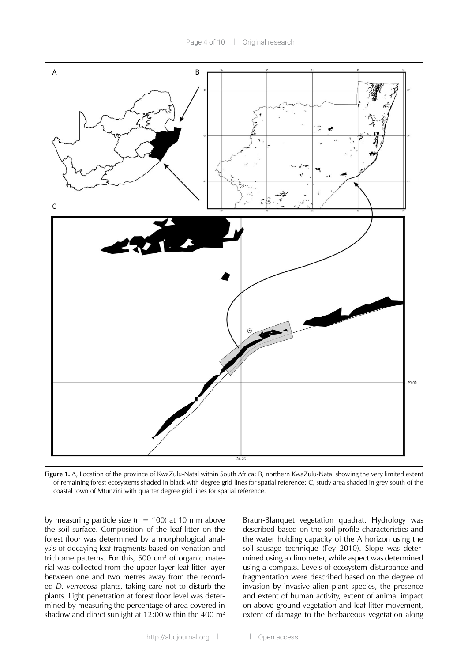

**Figure 1.** A, Location of the province of KwaZulu-Natal within South Africa; B, northern KwaZulu-Natal showing the very limited extent of remaining forest ecosystems shaded in black with degree grid lines for spatial reference; C, study area shaded in grey south of the coastal town of Mtunzini with quarter degree grid lines for spatial reference.

by measuring particle size ( $n = 100$ ) at 10 mm above the soil surface. Composition of the leaf-litter on the forest floor was determined by a morphological analysis of decaying leaf fragments based on venation and trichome patterns. For this, 500  $cm<sup>3</sup>$  of organic material was collected from the upper layer leaf-litter layer between one and two metres away from the recorded *D. verrucosa* plants, taking care not to disturb the plants. Light penetration at forest floor level was determined by measuring the percentage of area covered in shadow and direct sunlight at 12:00 within the 400 m2

Braun-Blanquet vegetation quadrat. Hydrology was described based on the soil profile characteristics and the water holding capacity of the A horizon using the soil-sausage technique (Fey 2010). Slope was determined using a clinometer, while aspect was determined using a compass. Levels of ecosystem disturbance and fragmentation were described based on the degree of invasion by invasive alien plant species, the presence and extent of human activity, extent of animal impact on above-ground vegetation and leaf-litter movement, extent of damage to the herbaceous vegetation along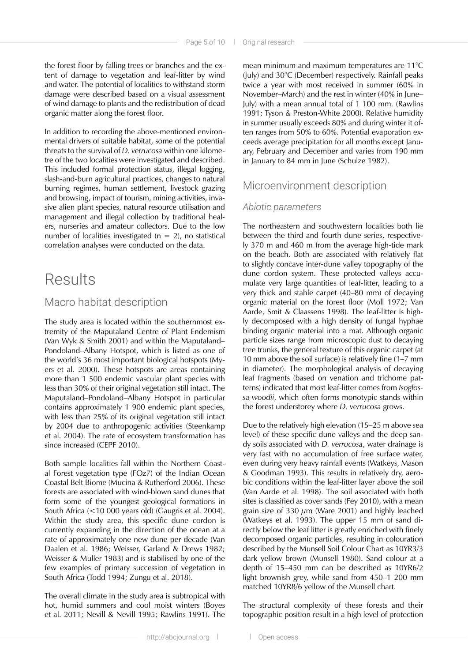the forest floor by falling trees or branches and the extent of damage to vegetation and leaf-litter by wind and water. The potential of localities to withstand storm damage were described based on a visual assessment of wind damage to plants and the redistribution of dead organic matter along the forest floor.

In addition to recording the above-mentioned environmental drivers of suitable habitat, some of the potential threats to the survival of *D. verrucosa* within one kilometre of the two localities were investigated and described. This included formal protection status, illegal logging, slash-and-burn agricultural practices, changes to natural burning regimes, human settlement, livestock grazing and browsing, impact of tourism, mining activities, invasive alien plant species, natural resource utilisation and management and illegal collection by traditional healers, nurseries and amateur collectors. Due to the low number of localities investigated ( $n = 2$ ), no statistical correlation analyses were conducted on the data.

## Results

### Macro habitat description

The study area is located within the southernmost extremity of the Maputaland Centre of Plant Endemism (Van Wyk & Smith 2001) and within the Maputaland– Pondoland–Albany Hotspot, which is listed as one of the world's 36 most important biological hotspots (Myers et al. 2000). These hotspots are areas containing more than 1 500 endemic vascular plant species with less than 30% of their original vegetation still intact. The Maputaland–Pondoland–Albany Hotspot in particular contains approximately 1 900 endemic plant species, with less than 25% of its original vegetation still intact by 2004 due to anthropogenic activities (Steenkamp et al. 2004). The rate of ecosystem transformation has since increased (CEPF 2010).

Both sample localities fall within the Northern Coastal Forest vegetation type (FOz7) of the Indian Ocean Coastal Belt Biome (Mucina & Rutherford 2006). These forests are associated with wind-blown sand dunes that form some of the youngest geological formations in South Africa (<10 000 years old) (Gaugris et al. 2004). Within the study area, this specific dune cordon is currently expanding in the direction of the ocean at a rate of approximately one new dune per decade (Van Daalen et al. 1986; Weisser, Garland & Drews 1982; Weisser & Muller 1983) and is stabilised by one of the few examples of primary succession of vegetation in South Africa (Todd 1994; Zungu et al. 2018).

The overall climate in the study area is subtropical with hot, humid summers and cool moist winters (Boyes et al. 2011; Nevill & Nevill 1995; Rawlins 1991). The

mean minimum and maximum temperatures are 11°C (July) and 30°C (December) respectively. Rainfall peaks twice a year with most received in summer (60% in November–March) and the rest in winter (40% in June– July) with a mean annual total of 1 100 mm. (Rawlins 1991; Tyson & Preston-White 2000). Relative humidity in summer usually exceeds 80% and during winter it often ranges from 50% to 60%. Potential evaporation exceeds average precipitation for all months except January, February and December and varies from 190 mm in January to 84 mm in June (Schulze 1982).

### Microenvironment description

### *Abiotic parameters*

The northeastern and southwestern localities both lie between the third and fourth dune series, respectively 370 m and 460 m from the average high-tide mark on the beach. Both are associated with relatively flat to slightly concave inter-dune valley topography of the dune cordon system. These protected valleys accumulate very large quantities of leaf-litter, leading to a very thick and stable carpet (40–80 mm) of decaying organic material on the forest floor (Moll 1972; Van Aarde, Smit & Claassens 1998). The leaf-litter is highly decomposed with a high density of fungal hyphae binding organic material into a mat. Although organic particle sizes range from microscopic dust to decaying tree trunks, the general texture of this organic carpet (at 10 mm above the soil surface) is relatively fine (1–7 mm in diameter). The morphological analysis of decaying leaf fragments (based on venation and trichome patterns) indicated that most leaf-litter comes from *Isoglossa woodii*, which often forms monotypic stands within the forest understorey where *D. verrucosa* grows.

Due to the relatively high elevation (15–25 m above sea level) of these specific dune valleys and the deep sandy soils associated with *D. verrucosa*, water drainage is very fast with no accumulation of free surface water, even during very heavy rainfall events (Watkeys, Mason & Goodman 1993). This results in relatively dry, aerobic conditions within the leaf-litter layer above the soil (Van Aarde et al. 1998). The soil associated with both sites is classified as cover sands (Fey 2010), with a mean grain size of 330  $\mu$ m (Ware 2001) and highly leached (Watkeys et al. 1993). The upper 15 mm of sand directly below the leaf litter is greatly enriched with finely decomposed organic particles, resulting in colouration described by the Munsell Soil Colour Chart as 10YR3/3 dark yellow brown (Munsell 1980). Sand colour at a depth of 15–450 mm can be described as 10YR6/2 light brownish grey, while sand from 450–1 200 mm matched 10YR8/6 yellow of the Munsell chart.

The structural complexity of these forests and their topographic position result in a high level of protection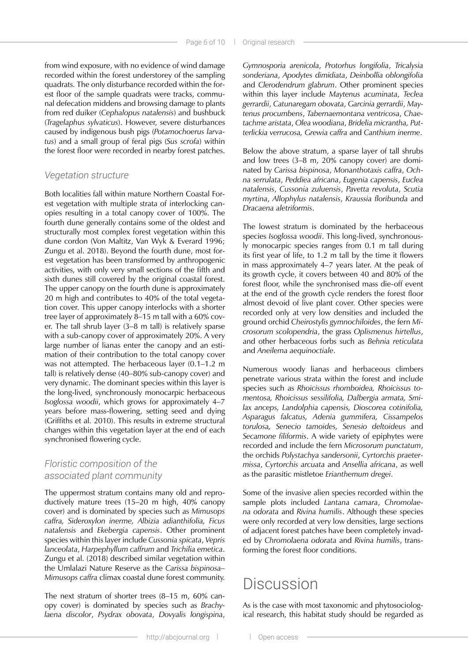from wind exposure, with no evidence of wind damage recorded within the forest understorey of the sampling quadrats. The only disturbance recorded within the forest floor of the sample quadrats were tracks, communal defecation middens and browsing damage to plants from red duiker (*Cephalopus natalensis*) and bushbuck (*Tragelaphus sylvaticus*). However, severe disturbances caused by indigenous bush pigs (*Potamochoerus larvatus*) and a small group of feral pigs (*Sus scrofa*) within the forest floor were recorded in nearby forest patches.

#### *Vegetation structure*

Both localities fall within mature Northern Coastal Forest vegetation with multiple strata of interlocking canopies resulting in a total canopy cover of 100%. The fourth dune generally contains some of the oldest and structurally most complex forest vegetation within this dune cordon (Von Maltitz, Van Wyk & Everard 1996; Zungu et al. 2018). Beyond the fourth dune, most forest vegetation has been transformed by anthropogenic activities, with only very small sections of the fifth and sixth dunes still covered by the original coastal forest. The upper canopy on the fourth dune is approximately 20 m high and contributes to 40% of the total vegetation cover. This upper canopy interlocks with a shorter tree layer of approximately 8–15 m tall with a 60% cover. The tall shrub layer (3–8 m tall) is relatively sparse with a sub-canopy cover of approximately 20%. A very large number of lianas enter the canopy and an estimation of their contribution to the total canopy cover was not attempted. The herbaceous layer (0.1–1.2 m tall) is relatively dense (40–80% sub-canopy cover) and very dynamic. The dominant species within this layer is the long-lived, synchronously monocarpic herbaceous *Isoglossa woodii*, which grows for approximately 4–7 years before mass-flowering, setting seed and dying (Griffiths et al. 2010). This results in extreme structural changes within this vegetation layer at the end of each synchronised flowering cycle.

### *Floristic composition of the associated plant community*

The uppermost stratum contains many old and reproductively mature trees (15–20 m high, 40% canopy cover) and is dominated by species such as *Mimusops caffra, Sideroxylon inerme, Albizia adianthifolia, Ficus natalensis* and *Ekebergia capensis*. Other prominent species within this layer include *Cussonia spicata*, *Vepris lanceolata*, *Harpephyllum caffrum* and *Trichilia emetica*. Zungu et al. (2018) described similar vegetation within the Umlalazi Nature Reserve as the *Carissa bispinosa– Mimusops caffra* climax coastal dune forest community.

The next stratum of shorter trees (8–15 m, 60% canopy cover) is dominated by species such as *Brachylaena discolor*, *Psydrax obovata*, *Dovyalis longispina*, *Gymnosporia arenicola*, *Protorhus longifolia*, *Tricalysia sonderiana*, *Apodytes dimidiata*, *Deinbollia oblongifolia* and *Clerodendrum glabrum*. Other prominent species within this layer include *Maytenus acuminata*, *Teclea gerrardii*, *Catunaregam obovata*, *Garcinia gerrardii*, *Maytenus procumbens*, *Tabernaemontana ventricosa*, *Chaetachme aristata*, *Olea woodiana*, *Bridelia micrantha, Putterlickia verrucosa, Grewia caffra* and *Canthium inerme*.

Below the above stratum, a sparse layer of tall shrubs and low trees (3–8 m, 20% canopy cover) are dominated by *Carissa bispinosa*, *Monanthotaxis caffra*, *Ochna serrulata*, *Peddiea africana*, *Eugenia capensis*, *Euclea natalensis*, *Cussonia zuluensis*, *Pavetta revoluta*, *Scutia myrtina*, *Allophylus natalensis*, *Kraussia floribunda* and *Dracaena aletriformis*.

The lowest stratum is dominated by the herbaceous species *Isoglossa woodii*. This long-lived, synchronously monocarpic species ranges from 0.1 m tall during its first year of life, to 1.2 m tall by the time it flowers in mass approximately 4–7 years later. At the peak of its growth cycle, it covers between 40 and 80% of the forest floor, while the synchronised mass die-off event at the end of the growth cycle renders the forest floor almost devoid of live plant cover. Other species were recorded only at very low densities and included the ground orchid *Cheirostylis gymnochiloides*, the fern *Microsorum scolopendria*, the grass *Oplismenus hirtellus*, and other herbaceous forbs such as *Behnia reticulata* and *Aneilema aequinoctiale*.

Numerous woody lianas and herbaceous climbers penetrate various strata within the forest and include species such as *Rhoicissus rhomboidea, Rhoicissus tomentosa, Rhoicissus sessilifolia, Dalbergia armata, Smilax anceps, Landolphia capensis, Dioscorea cotinifolia, Asparagus falcatus, Adenia gummifera, Cissampelos torulosa, Senecio tamoides, Senesio deltoideus* and *Secamone filiformis*. A wide variety of epiphytes were recorded and include the fern *Microsorum punctatum*, the orchids *Polystachya sandersonii*, *Cyrtorchis praetermissa*, *Cyrtorchis arcuata* and *Ansellia africana*, as well as the parasitic mistletoe *Erianthemum dregei*.

Some of the invasive alien species recorded within the sample plots included *Lantana camara*, *Chromolaena odorata* and *Rivina humilis*. Although these species were only recorded at very low densities, large sections of adjacent forest patches have been completely invaded by *Chromolaena odorata* and *Rivina humilis*, transforming the forest floor conditions.

## **Discussion**

As is the case with most taxonomic and phytosociological research, this habitat study should be regarded as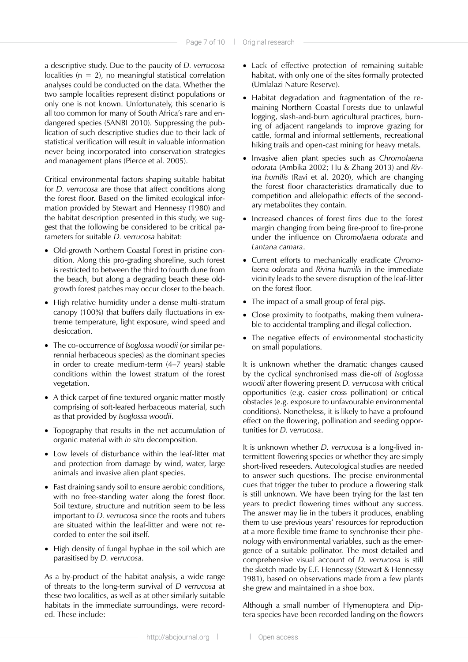a descriptive study. Due to the paucity of *D. verrucosa* localities ( $n = 2$ ), no meaningful statistical correlation analyses could be conducted on the data. Whether the two sample localities represent distinct populations or only one is not known. Unfortunately, this scenario is all too common for many of South Africa's rare and endangered species (SANBI 2010). Suppressing the publication of such descriptive studies due to their lack of statistical verification will result in valuable information never being incorporated into conservation strategies and management plans (Pierce et al. 2005).

Critical environmental factors shaping suitable habitat for *D. verrucosa* are those that affect conditions along the forest floor. Based on the limited ecological information provided by Stewart and Hennessy (1980) and the habitat description presented in this study, we suggest that the following be considered to be critical parameters for suitable *D. verrucosa* habitat:

- Old-growth Northern Coastal Forest in pristine condition. Along this pro-grading shoreline, such forest is restricted to between the third to fourth dune from the beach, but along a degrading beach these oldgrowth forest patches may occur closer to the beach.
- High relative humidity under a dense multi-stratum canopy (100%) that buffers daily fluctuations in extreme temperature, light exposure, wind speed and desiccation.
- The co-occurrence of *Isoglossa woodii* (or similar perennial herbaceous species) as the dominant species in order to create medium-term (4–7 years) stable conditions within the lowest stratum of the forest vegetation.
- A thick carpet of fine textured organic matter mostly comprising of soft-leafed herbaceous material, such as that provided by *Isoglossa woodii*.
- Topography that results in the net accumulation of organic material with *in situ* decomposition.
- Low levels of disturbance within the leaf-litter mat and protection from damage by wind, water, large animals and invasive alien plant species.
- Fast draining sandy soil to ensure aerobic conditions, with no free-standing water along the forest floor. Soil texture, structure and nutrition seem to be less important to *D. verrucosa* since the roots and tubers are situated within the leaf-litter and were not recorded to enter the soil itself.
- High density of fungal hyphae in the soil which are parasitised by *D. verrucosa*.

As a by-product of the habitat analysis, a wide range of threats to the long-term survival of *D verrucosa* at these two localities, as well as at other similarly suitable habitats in the immediate surroundings, were recorded. These include:

- Lack of effective protection of remaining suitable habitat, with only one of the sites formally protected (Umlalazi Nature Reserve).
- Habitat degradation and fragmentation of the remaining Northern Coastal Forests due to unlawful logging, slash-and-burn agricultural practices, burning of adjacent rangelands to improve grazing for cattle, formal and informal settlements, recreational hiking trails and open-cast mining for heavy metals.
- Invasive alien plant species such as *Chromolaena odorata* (Ambika 2002; Hu & Zhang 2013) and *Rivina humilis* (Ravi et al. 2020), which are changing the forest floor characteristics dramatically due to competition and allelopathic effects of the secondary metabolites they contain.
- Increased chances of forest fires due to the forest margin changing from being fire-proof to fire-prone under the influence on *Chromolaena odorata* and *Lantana camara*.
- Current efforts to mechanically eradicate *Chromolaena odorata* and *Rivina humilis* in the immediate vicinity leads to the severe disruption of the leaf-litter on the forest floor.
- The impact of a small group of feral pigs.
- Close proximity to footpaths, making them vulnerable to accidental trampling and illegal collection.
- The negative effects of environmental stochasticity on small populations.

It is unknown whether the dramatic changes caused by the cyclical synchronised mass die-off of *Isoglossa woodii* after flowering present *D. verrucosa* with critical opportunities (e.g. easier cross pollination) or critical obstacles (e.g. exposure to unfavourable environmental conditions). Nonetheless, it is likely to have a profound effect on the flowering, pollination and seeding opportunities for *D. verrucosa*.

It is unknown whether *D. verrucosa* is a long-lived intermittent flowering species or whether they are simply short-lived reseeders. Autecological studies are needed to answer such questions. The precise environmental cues that trigger the tuber to produce a flowering stalk is still unknown. We have been trying for the last ten years to predict flowering times without any success. The answer may lie in the tubers it produces, enabling them to use previous years' resources for reproduction at a more flexible time frame to synchronise their phenology with environmental variables, such as the emergence of a suitable pollinator. The most detailed and comprehensive visual account of *D. verrucosa* is still the sketch made by E.F. Hennessy (Stewart & Hennessy 1981), based on observations made from a few plants she grew and maintained in a shoe box.

Although a small number of Hymenoptera and Diptera species have been recorded landing on the flowers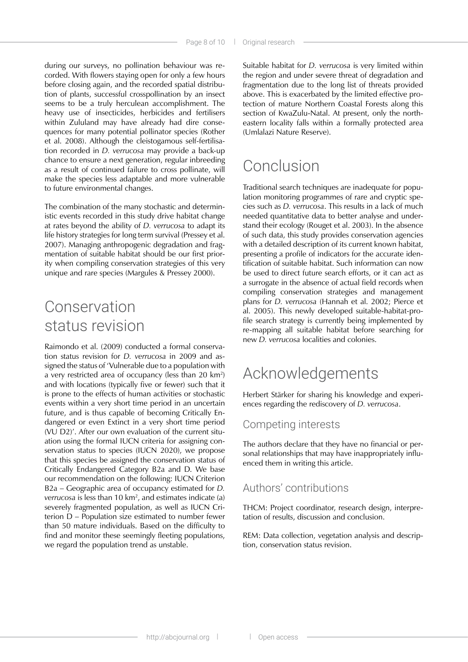during our surveys, no pollination behaviour was recorded. With flowers staying open for only a few hours before closing again, and the recorded spatial distribution of plants, successful crosspollination by an insect seems to be a truly herculean accomplishment. The heavy use of insecticides, herbicides and fertilisers within Zululand may have already had dire consequences for many potential pollinator species (Rother et al. 2008). Although the cleistogamous self-fertilisation recorded in *D. verrucosa* may provide a back-up chance to ensure a next generation, regular inbreeding as a result of continued failure to cross pollinate, will make the species less adaptable and more vulnerable to future environmental changes.

The combination of the many stochastic and deterministic events recorded in this study drive habitat change at rates beyond the ability of *D. verrucosa* to adapt its life history strategies for long term survival (Pressey et al. 2007). Managing anthropogenic degradation and fragmentation of suitable habitat should be our first priority when compiling conservation strategies of this very unique and rare species (Margules & Pressey 2000).

# Conservation status revision

Raimondo et al. (2009) conducted a formal conservation status revision for *D. verrucosa* in 2009 and assigned the status of 'Vulnerable due to a population with a very restricted area of occupancy (less than 20 km2 ) and with locations (typically five or fewer) such that it is prone to the effects of human activities or stochastic events within a very short time period in an uncertain future, and is thus capable of becoming Critically Endangered or even Extinct in a very short time period (VU D2)'. After our own evaluation of the current situation using the formal IUCN criteria for assigning conservation status to species (IUCN 2020), we propose that this species be assigned the conservation status of Critically Endangered Category B2a and D. We base our recommendation on the following: IUCN Criterion B2a – Geographic area of occupancy estimated for *D. verrucosa* is less than 10 km2 , and estimates indicate (a) severely fragmented population, as well as IUCN Criterion D – Population size estimated to number fewer than 50 mature individuals. Based on the difficulty to find and monitor these seemingly fleeting populations, we regard the population trend as unstable.

Suitable habitat for *D. verrucosa* is very limited within the region and under severe threat of degradation and fragmentation due to the long list of threats provided above. This is exacerbated by the limited effective protection of mature Northern Coastal Forests along this section of KwaZulu-Natal. At present, only the northeastern locality falls within a formally protected area (Umlalazi Nature Reserve).

# Conclusion

Traditional search techniques are inadequate for population monitoring programmes of rare and cryptic species such as *D. verrucosa*. This results in a lack of much needed quantitative data to better analyse and understand their ecology (Rouget et al. 2003). In the absence of such data, this study provides conservation agencies with a detailed description of its current known habitat, presenting a profile of indicators for the accurate identification of suitable habitat. Such information can now be used to direct future search efforts, or it can act as a surrogate in the absence of actual field records when compiling conservation strategies and management plans for *D. verrucosa* (Hannah et al. 2002; Pierce et al. 2005). This newly developed suitable-habitat-profile search strategy is currently being implemented by re-mapping all suitable habitat before searching for new *D. verrucosa* localities and colonies.

# Acknowledgements

Herbert Stärker for sharing his knowledge and experiences regarding the rediscovery of *D. verrucosa*.

### Competing interests

The authors declare that they have no financial or personal relationships that may have inappropriately influenced them in writing this article.

### Authors' contributions

THCM: Project coordinator, research design, interpretation of results, discussion and conclusion.

REM: Data collection, vegetation analysis and description, conservation status revision.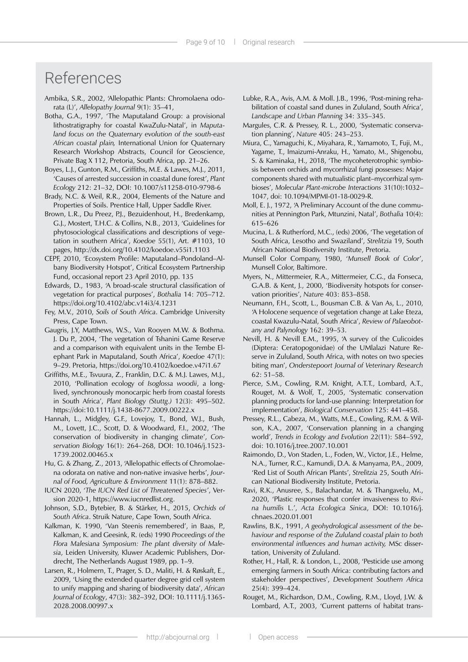## References

- Ambika, S.R., 2002, 'Allelopathic Plants: Chromolaena odorata (L)', *Allelopathy Journal* 9(1): 35–41,
- Botha, G.A., 1997, 'The Maputaland Group: a provisional lithostratigraphy for coastal KwaZulu-Natal', in *Maputaland focus on the Quaternary evolution of the south-east African coastal plain,* International Union for Quaternary Research Workshop Abstracts, Council for Geoscience, Private Bag X 112, Pretoria, South Africa, pp. 21–26.
- Boyes, L.J., Gunton, R.M., Griffiths, M.E. & Lawes, M.J., 2011, 'Causes of arrested succession in coastal dune forest', *Plant Ecology* 212: 21–32, DOI: 10.1007/s11258-010-9798-6
- Brady, N.C. & Weil, R.R., 2004, Elements of the Nature and Properties of Soils. Prentice Hall, Upper Saddle River.
- Brown, L.R., Du Preez, P.J., Bezuidenhout, H., Bredenkamp, G.J., Mostert, T.H.C. & Collins, N.B., 2013, 'Guidelines for phytosociological classifications and descriptions of vegetation in southern Africa', *Koedoe* 55(1), Art. #1103, 10 pages,<http://dx.doi.org/10.4102/koedoe.v55i1.1103>
- CEPF, 2010, 'Ecosystem Profile: Maputaland–Pondoland–Albany Biodiversity Hotspot', Critical Ecosystem Partnership Fund, occasional report 23 April 2010, pp. 135
- Edwards, D., 1983, 'A broad-scale structural classification of vegetation for practical purposes', *Bothalia* 14: 705–712. <https://doi.org/10.4102/abc.v14i3/4.1231>
- Fey, M.V., 2010, *Soils of South Africa*. Cambridge University Press, Cape Town.
- Gaugris, J.Y, Matthews, W.S., Van Rooyen M.W. & Bothma. J. Du P., 2004, 'The vegetation of Tshanini Game Reserve and a comparison with equivalent units in the Tembe Elephant Park in Maputaland, South Africa', *Koedoe* 47(1): 9–29. Pretoria, <https://doi.org/10.4102/koedoe.v47i1.67>
- Griffiths, M.E., Tsvuura, Z., Franklin, D.C. & M.J. Lawes, M.J., 2010, 'Pollination ecology of *Isoglossa woodii*, a longlived, synchronously monocarpic herb from coastal forests in South Africa', *Plant Biology (Stuttg.)* 12(3): 495–502. https://doi:10.1111/j.1438-8677.2009.00222.x
- Hannah, L., Midgley, G.F., Lovejoy, T., Bond, W.J., Bush, M., Lovett, J.C., Scott, D. & Woodward, F.I., 2002, 'The conservation of biodiversity in changing climate', *Conservation Biology* 16(1): 264–268, DOI: 10.1046/j.1523- 1739.2002.00465.x
- Hu, G. & Zhang, Z., 2013, 'Allelopathic effects of Chromolaena odorata on native and non-native invasive herbs', *Journal of Food, Agriculture & Environment* 11(1): 878–882.
- IUCN 2020, '*The IUCN Red List of Threatened Species*', Version 2020-1,<https://www.iucnredlist.org>.
- Johnson, S.D., Bytebier, B. & Stärker, H., 2015, *Orchids of South Africa*. Struik Nature, Cape Town, South Africa.
- Kalkman, K. 1990, 'Van Steenis remembered', in Baas, P., Kalkman, K. and Geesink, R. (eds) 1990 *Proceedings of the Flora Malesiana Symposium: The plant diversity of Malesia*, Leiden University, Kluwer Academic Publishers, Dordrecht, The Netherlands August 1989, pp. 1–9.
- Larsen, R., Holmern, T., Prager, S. D., Maliti, H. & Røskaft, E., 2009, 'Using the extended quarter degree grid cell system to unify mapping and sharing of biodiversity data', *African Journal of Ecology*, 47(3): 382–392, DOI: 10.1111/j.1365- 2028.2008.00997.x
- Lubke, R.A., Avis, A.M. & Moll. J.B., 1996, 'Post-mining rehabilitation of coastal sand dunes in Zululand, South Africa', *Landscape and Urban Planning* 34: 335–345.
- Margules, C.R. & Pressey, R. L., 2000, 'Systematic conservation planning', *Nature* 405: 243–253.
- Miura, C., Yamaguchi, K., Miyahara, R., Yamamoto, T., Fuji, M., Yagame, T., Imaizumi-Anraku, H., Yamato, M., Shigenobu, S. & Kaminaka, H., 2018, 'The mycoheterotrophic symbiosis between orchids and mycorrhizal fungi possesses: Major components shared with mutualistic plant–mycorrhizal symbioses', *Molecular Plant-microbe Interactions* 31(10):1032– 1047, doi:<10.1094/MPMI>-01-18-0029-R.
- Moll, E. J., 1972, 'A Preliminary Account of the dune communities at Pennington Park, Mtunzini, Natal', *Bothalia* 10(4): 615–626
- Mucina, L. & Rutherford, M.C., (eds) 2006, 'The vegetation of South Africa, Lesotho and Swaziland', *Strelitzia* 19, South African National Biodiversity Institute, Pretoria.
- Munsell Color Company, 1980, '*Munsell Book of Color*', Munsell Color, Baltimore.
- Myers, N., Mittermeier, R.A., Mittermeier, C.G., da Fonseca, G.A.B. & Kent, J., 2000, 'Biodiversity hotspots for conservation priorities', *Nature* 403: 853–858.
- Neumann, F.H., Scott, L., Bousman C.B. & Van As, L., 2010, 'A Holocene sequence of vegetation change at Lake Eteza, coastal Kwazulu-Natal, South Africa', *Review of Palaeobotany and Palynology* 162: 39–53.
- Nevill, H. & Nevill E.M., 1995, 'A survey of the Culicoides (Diptera: Ceratopogonidae) of the UMlalazi Nature Reserve in Zululand, South Africa, with notes on two species biting man', *Onderstepoort Journal of Veterinary Research* 62: 51–58.
- Pierce, S.M., Cowling, R.M. Knight, A.T.T., Lombard, A.T., Rouget, M. & Wolf, T., 2005, 'Systematic conservation planning products for land-use planning: Interpretation for implementation', *Biological Conservation* 125: 441–458.
- Pressey, R.L., Cabeza, M., Watts, M.E., Cowling, R.M. & Wilson, K.A., 2007, 'Conservation planning in a changing world', *Trends in Ecology and Evolution* 22(11): 584–592, doi: [10.1016/j.tree.](10.1016/j.tree)2007.10.001
- Raimondo, D., Von Staden, L., Foden, W., Victor, J.E., Helme, N.A., Turner, R.C., Kamundi, D.A. & Manyama, P.A., 2009, 'Red List of South African Plants', *Strelitzia* 25, South African National Biodiversity Institute, Pretoria.
- Ravi, R.K., Anusree, S., Balachandar, M. & Thangavelu, M., 2020, 'Plastic responses that confer invasiveness to *Rivina humilis* L.', *Acta Ecologica Sinica*, DOI: [10.1016/j.](10.1016/j.chnaes) [chnaes](10.1016/j.chnaes).2020.01.001
- Rawlins, B.K., 1991, *A geohydrological assessment of the behaviour and response of the Zululand coastal plain to both environmental influences and human activity,* MSc dissertation, University of Zululand.
- Rother, H., Hall, R. & London, L., 2008, 'Pesticide use among emerging farmers in South Africa: contributing factors and stakeholder perspectives', *Development Southern Africa* 25(4): 399–424.
- Rouget, M., Richardson, D.M., Cowling, R.M., Lloyd, J.W. & Lombard, A.T., 2003, 'Current patterns of habitat trans-